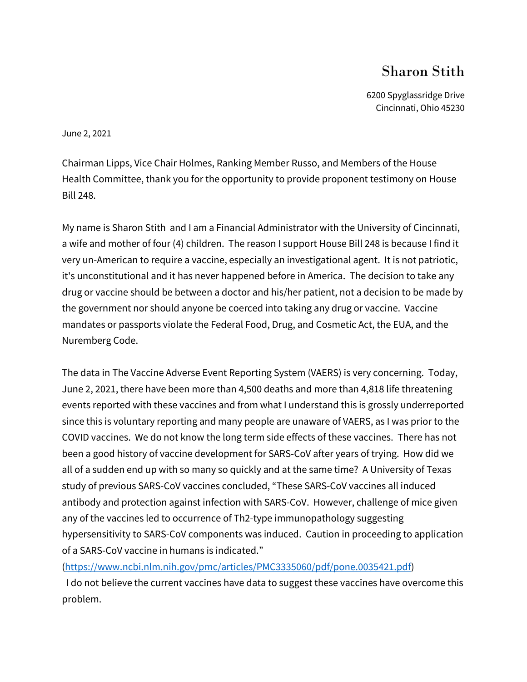## Sharon Stith

6200 Spyglassridge Drive Cincinnati, Ohio 45230

June 2, 2021

Chairman Lipps, Vice Chair Holmes, Ranking Member Russo, and Members of the House Health Committee, thank you for the opportunity to provide proponent testimony on House Bill 248.

My name is Sharon Stith and I am a Financial Administrator with the University of Cincinnati, a wife and mother of four (4) children. The reason I support House Bill 248 is because I find it very un-American to require a vaccine, especially an investigational agent. It is not patriotic, it's unconstitutional and it has never happened before in America. The decision to take any drug or vaccine should be between a doctor and his/her patient, not a decision to be made by the government nor should anyone be coerced into taking any drug or vaccine. Vaccine mandates or passports violate the Federal Food, Drug, and Cosmetic Act, the EUA, and the Nuremberg Code.

The data in The Vaccine Adverse Event Reporting System (VAERS) is very concerning. Today, June 2, 2021, there have been more than 4,500 deaths and more than 4,818 life threatening events reported with these vaccines and from what I understand this is grossly underreported since this is voluntary reporting and many people are unaware of VAERS, as I was prior to the COVID vaccines. We do not know the long term side effects of these vaccines. There has not been a good history of vaccine development for SARS-CoV after years of trying. How did we all of a sudden end up with so many so quickly and at the same time? A University of Texas study of previous SARS-CoV vaccines concluded, "These SARS-CoV vaccines all induced antibody and protection against infection with SARS-CoV. However, challenge of mice given any of the vaccines led to occurrence of Th2-type immunopathology suggesting hypersensitivity to SARS-CoV components was induced. Caution in proceeding to application of a SARS-CoV vaccine in humans is indicated."

[\(https://www.ncbi.nlm.nih.gov/pmc/articles/PMC3335060/pdf/pone.0035421.pdf\)](https://www.ncbi.nlm.nih.gov/pmc/articles/PMC3335060/pdf/pone.0035421.pdf)

 I do not believe the current vaccines have data to suggest these vaccines have overcome this problem.